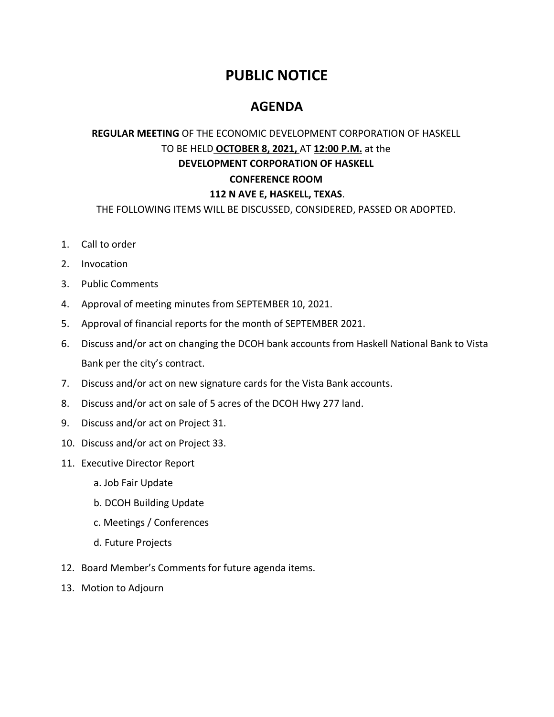## **PUBLIC NOTICE**

## **AGENDA**

## **REGULAR MEETING** OF THE ECONOMIC DEVELOPMENT CORPORATION OF HASKELL TO BE HELD **OCTOBER 8, 2021,** AT **12:00 P.M.** at the **DEVELOPMENT CORPORATION OF HASKELL CONFERENCE ROOM 112 N AVE E, HASKELL, TEXAS**.

THE FOLLOWING ITEMS WILL BE DISCUSSED, CONSIDERED, PASSED OR ADOPTED.

- 1. Call to order
- 2. Invocation
- 3. Public Comments
- 4. Approval of meeting minutes from SEPTEMBER 10, 2021.
- 5. Approval of financial reports for the month of SEPTEMBER 2021.
- 6. Discuss and/or act on changing the DCOH bank accounts from Haskell National Bank to Vista Bank per the city's contract.
- 7. Discuss and/or act on new signature cards for the Vista Bank accounts.
- 8. Discuss and/or act on sale of 5 acres of the DCOH Hwy 277 land.
- 9. Discuss and/or act on Project 31.
- 10. Discuss and/or act on Project 33.
- 11. Executive Director Report
	- a. Job Fair Update
	- b. DCOH Building Update
	- c. Meetings / Conferences
	- d. Future Projects
- 12. Board Member's Comments for future agenda items.
- 13. Motion to Adjourn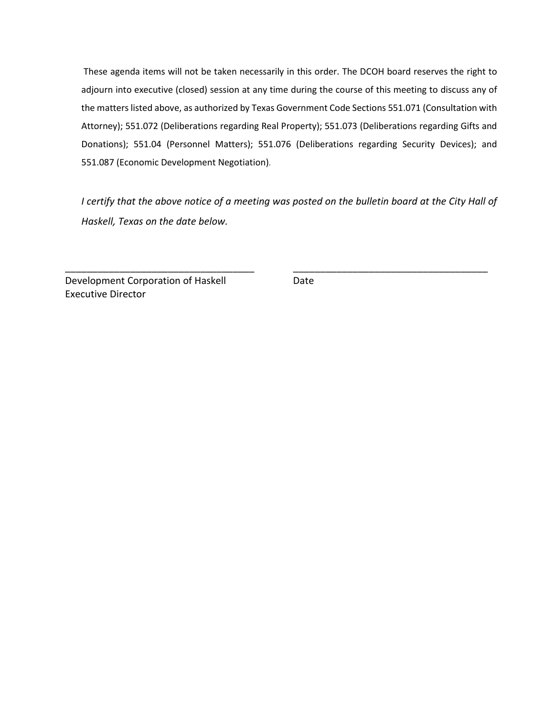These agenda items will not be taken necessarily in this order. The DCOH board reserves the right to adjourn into executive (closed) session at any time during the course of this meeting to discuss any of the matters listed above, as authorized by Texas Government Code Sections 551.071 (Consultation with Attorney); 551.072 (Deliberations regarding Real Property); 551.073 (Deliberations regarding Gifts and Donations); 551.04 (Personnel Matters); 551.076 (Deliberations regarding Security Devices); and 551.087 (Economic Development Negotiation).

*I certify that the above notice of a meeting was posted on the bulletin board at the City Hall of Haskell, Texas on the date below.* 

\_\_\_\_\_\_\_\_\_\_\_\_\_\_\_\_\_\_\_\_\_\_\_\_\_\_\_\_\_\_\_\_\_\_\_ \_\_\_\_\_\_\_\_\_\_\_\_\_\_\_\_\_\_\_\_\_\_\_\_\_\_\_\_\_\_\_\_\_\_\_\_

Development Corporation of Haskell Date Executive Director